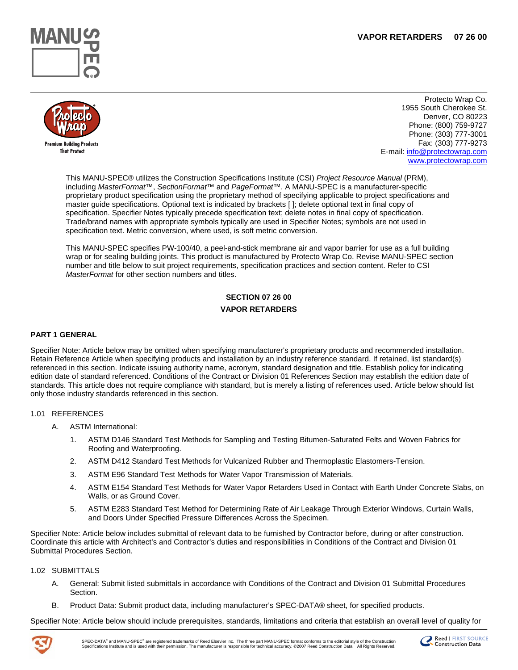



Protecto Wrap Co. 1955 South Cherokee St. Denver, CO 80223 Phone: (800) 759-9727 Phone: (303) 777-3001 Fax: (303) 777-9273 E-mail: [info@protectowrap.com](mailto:info@protectowrap.com) [www.protectowrap.com](http://www.protectowrap.com/)

This MANU-SPEC® utilizes the Construction Specifications Institute (CSI) *Project Resource Manual* (PRM), including *MasterFormat*™, *SectionFormat*™ and *PageFormat*™. A MANU-SPEC is a manufacturer-specific proprietary product specification using the proprietary method of specifying applicable to project specifications and master guide specifications. Optional text is indicated by brackets [ ]; delete optional text in final copy of specification. Specifier Notes typically precede specification text; delete notes in final copy of specification. Trade/brand names with appropriate symbols typically are used in Specifier Notes; symbols are not used in specification text. Metric conversion, where used, is soft metric conversion.

This MANU-SPEC specifies PW-100/40, a peel-and-stick membrane air and vapor barrier for use as a full building wrap or for sealing building joints. This product is manufactured by Protecto Wrap Co. Revise MANU-SPEC section number and title below to suit project requirements, specification practices and section content. Refer to CSI *MasterFormat* for other section numbers and titles.

# **SECTION 07 26 00 VAPOR RETARDERS**

# **PART 1 GENERAL**

Specifier Note: Article below may be omitted when specifying manufacturer's proprietary products and recommended installation. Retain Reference Article when specifying products and installation by an industry reference standard. If retained, list standard(s) referenced in this section. Indicate issuing authority name, acronym, standard designation and title. Establish policy for indicating edition date of standard referenced. Conditions of the Contract or Division 01 References Section may establish the edition date of standards. This article does not require compliance with standard, but is merely a listing of references used. Article below should list only those industry standards referenced in this section.

#### 1.01 REFERENCES

- A. ASTM International:
	- 1. ASTM D146 Standard Test Methods for Sampling and Testing Bitumen-Saturated Felts and Woven Fabrics for Roofing and Waterproofing.
	- 2. ASTM D412 Standard Test Methods for Vulcanized Rubber and Thermoplastic Elastomers-Tension.
	- 3. ASTM E96 Standard Test Methods for Water Vapor Transmission of Materials.
	- 4. ASTM E154 Standard Test Methods for Water Vapor Retarders Used in Contact with Earth Under Concrete Slabs, on Walls, or as Ground Cover.
	- 5. ASTM E283 Standard Test Method for Determining Rate of Air Leakage Through Exterior Windows, Curtain Walls, and Doors Under Specified Pressure Differences Across the Specimen.

Specifier Note: Article below includes submittal of relevant data to be furnished by Contractor before, during or after construction. Coordinate this article with Architect's and Contractor's duties and responsibilities in Conditions of the Contract and Division 01 Submittal Procedures Section.

#### 1.02 SUBMITTALS

- A. General: Submit listed submittals in accordance with Conditions of the Contract and Division 01 Submittal Procedures Section.
- B. Product Data: Submit product data, including manufacturer's SPEC-DATA® sheet, for specified products.

Specifier Note: Article below should include prerequisites, standards, limitations and criteria that establish an overall level of quality for



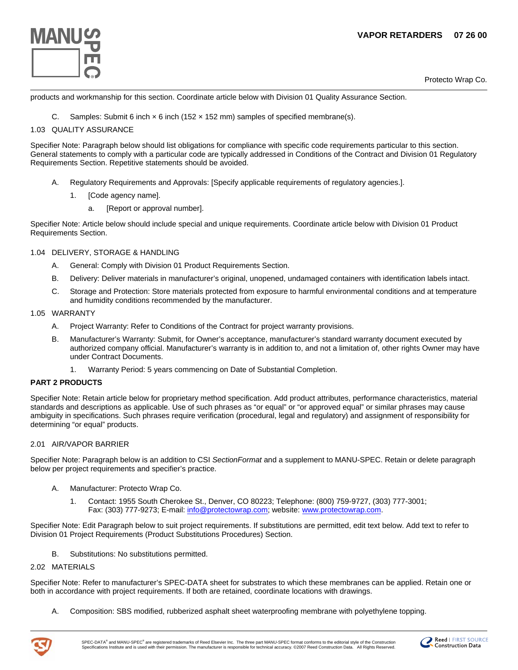

Protecto Wrap Co.

products and workmanship for this section. Coordinate article below with Division 01 Quality Assurance Section.

C. Samples: Submit 6 inch  $\times$  6 inch (152  $\times$  152 mm) samples of specified membrane(s).

# 1.03 QUALITY ASSURANCE

Specifier Note: Paragraph below should list obligations for compliance with specific code requirements particular to this section. General statements to comply with a particular code are typically addressed in Conditions of the Contract and Division 01 Regulatory Requirements Section. Repetitive statements should be avoided.

- A. Regulatory Requirements and Approvals: [Specify applicable requirements of regulatory agencies.].
	- 1. [Code agency name].
		- a. [Report or approval number].

Specifier Note: Article below should include special and unique requirements. Coordinate article below with Division 01 Product Requirements Section.

# 1.04 DELIVERY, STORAGE & HANDLING

- A. General: Comply with Division 01 Product Requirements Section.
- B. Delivery: Deliver materials in manufacturer's original, unopened, undamaged containers with identification labels intact.
- C. Storage and Protection: Store materials protected from exposure to harmful environmental conditions and at temperature and humidity conditions recommended by the manufacturer.

#### 1.05 WARRANTY

- A. Project Warranty: Refer to Conditions of the Contract for project warranty provisions.
- B. Manufacturer's Warranty: Submit, for Owner's acceptance, manufacturer's standard warranty document executed by authorized company official. Manufacturer's warranty is in addition to, and not a limitation of, other rights Owner may have under Contract Documents.
	- 1. Warranty Period: 5 years commencing on Date of Substantial Completion.

# **PART 2 PRODUCTS**

Specifier Note: Retain article below for proprietary method specification. Add product attributes, performance characteristics, material standards and descriptions as applicable. Use of such phrases as "or equal" or "or approved equal" or similar phrases may cause ambiguity in specifications. Such phrases require verification (procedural, legal and regulatory) and assignment of responsibility for determining "or equal" products.

# 2.01 AIR/VAPOR BARRIER

Specifier Note: Paragraph below is an addition to CSI *SectionFormat* and a supplement to MANU-SPEC. Retain or delete paragraph below per project requirements and specifier's practice.

- A. Manufacturer: Protecto Wrap Co.
	- 1. Contact: 1955 South Cherokee St., Denver, CO 80223; Telephone: (800) 759-9727, (303) 777-3001; Fax: (303) 777-9273; E-mail: [info@protectowrap.com;](mailto:info@protectowrap.com) website: [www.protectowrap.com.](http://www.protectowrap.com/)

Specifier Note: Edit Paragraph below to suit project requirements. If substitutions are permitted, edit text below. Add text to refer to Division 01 Project Requirements (Product Substitutions Procedures) Section.

B. Substitutions: No substitutions permitted.

#### 2.02 MATERIALS

Specifier Note: Refer to manufacturer's SPEC-DATA sheet for substrates to which these membranes can be applied. Retain one or both in accordance with project requirements. If both are retained, coordinate locations with drawings.

A. Composition: SBS modified, rubberized asphalt sheet waterproofing membrane with polyethylene topping.



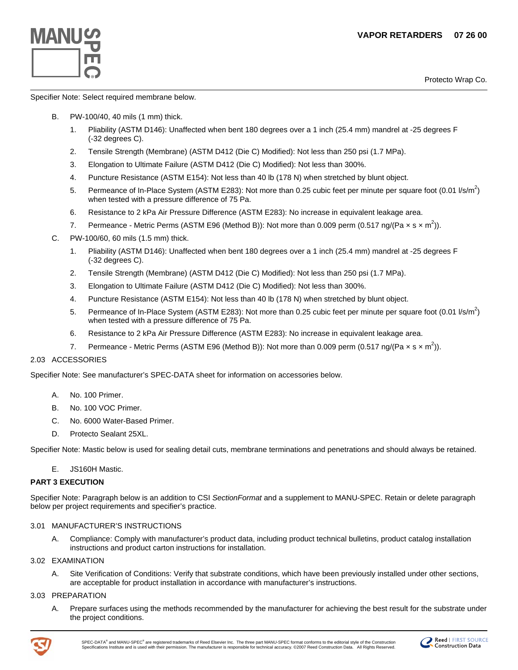Protecto Wrap Co. **®**



Specifier Note: Select required membrane below.

- B. PW-100/40, 40 mils (1 mm) thick.
	- 1. Pliability (ASTM D146): Unaffected when bent 180 degrees over a 1 inch (25.4 mm) mandrel at -25 degrees F (-32 degrees C).
	- 2. Tensile Strength (Membrane) (ASTM D412 (Die C) Modified): Not less than 250 psi (1.7 MPa).
	- 3. Elongation to Ultimate Failure (ASTM D412 (Die C) Modified): Not less than 300%.
	- 4. Puncture Resistance (ASTM E154): Not less than 40 lb (178 N) when stretched by blunt object.
	- 5. Permeance of In-Place System (ASTM E283): Not more than 0.25 cubic feet per minute per square foot (0.01  $l/s/m^2$ ) when tested with a pressure difference of 75 Pa.
	- 6. Resistance to 2 kPa Air Pressure Difference (ASTM E283): No increase in equivalent leakage area.
	- 7. Permeance Metric Perms (ASTM E96 (Method B)): Not more than 0.009 perm (0.517 ng/(Pa  $\times$  s  $\times$  m<sup>2</sup>)).
- C. PW-100/60, 60 mils (1.5 mm) thick.
	- 1. Pliability (ASTM D146): Unaffected when bent 180 degrees over a 1 inch (25.4 mm) mandrel at -25 degrees F (-32 degrees C).
	- 2. Tensile Strength (Membrane) (ASTM D412 (Die C) Modified): Not less than 250 psi (1.7 MPa).
	- 3. Elongation to Ultimate Failure (ASTM D412 (Die C) Modified): Not less than 300%.
	- 4. Puncture Resistance (ASTM E154): Not less than 40 lb (178 N) when stretched by blunt object.
	- 5. Permeance of In-Place System (ASTM E283): Not more than 0.25 cubic feet per minute per square foot (0.01  $l/s/m^2$ ) when tested with a pressure difference of 75 Pa.
	- 6. Resistance to 2 kPa Air Pressure Difference (ASTM E283): No increase in equivalent leakage area.
	- 7. Permeance Metric Perms (ASTM E96 (Method B)): Not more than 0.009 perm (0.517 ng/(Pa  $\times$  s  $\times$  m<sup>2</sup>)).

# 2.03 ACCESSORIES

Specifier Note: See manufacturer's SPEC-DATA sheet for information on accessories below.

- A. No. 100 Primer.
- B. No. 100 VOC Primer.
- C. No. 6000 Water-Based Primer.
- D. Protecto Sealant 25XL.

Specifier Note: Mastic below is used for sealing detail cuts, membrane terminations and penetrations and should always be retained.

E. JS160H Mastic.

# **PART 3 EXECUTION**

Specifier Note: Paragraph below is an addition to CSI *SectionFormat* and a supplement to MANU-SPEC. Retain or delete paragraph below per project requirements and specifier's practice.

# 3.01 MANUFACTURER'S INSTRUCTIONS

A. Compliance: Comply with manufacturer's product data, including product technical bulletins, product catalog installation instructions and product carton instructions for installation.

#### 3.02 EXAMINATION

A. Site Verification of Conditions: Verify that substrate conditions, which have been previously installed under other sections, are acceptable for product installation in accordance with manufacturer's instructions.

## 3.03 PREPARATION

A. Prepare surfaces using the methods recommended by the manufacturer for achieving the best result for the substrate under the project conditions.